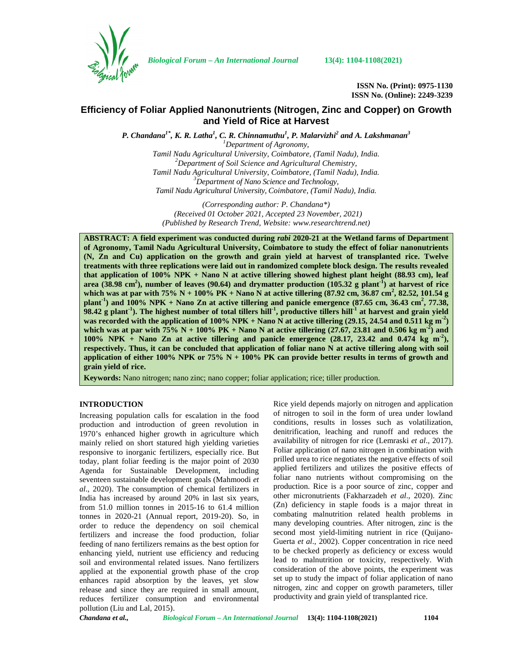

*Biological Forum – An International Journal* **13(4): 1104-1108(2021)**

**ISSN No. (Print): 0975-1130 ISSN No. (Online): 2249-3239**

# **Efficiency of Foliar Applied Nanonutrients (Nitrogen, Zinc and Copper) on Growth and Yield of Rice at Harvest**

*P. Chandana1\*, K. R. Latha<sup>1</sup> , C. R. Chinnamuthu<sup>1</sup> , P. Malarvizhi<sup>2</sup> and A. Lakshmanan<sup>3</sup>*

*<sup>1</sup>Department of Agronomy, Tamil Nadu Agricultural University, Coimbatore, (Tamil Nadu), India. <sup>2</sup>Department of Soil Science and Agricultural Chemistry, Tamil Nadu Agricultural University, Coimbatore, (Tamil Nadu), India. <sup>3</sup>Department of Nano Science and Technology, Tamil Nadu Agricultural University, Coimbatore, (Tamil Nadu), India.*

*(Corresponding author: P. Chandana\*) (Received 01 October 2021, Accepted 23 November, 2021) (Published by Research Trend, Website: [www.researchtrend.net\)](www.researchtrend.net)*

**ABSTRACT: A field experiment was conducted during** *rabi* **2020-21 at the Wetland farms of Department of Agronomy, Tamil Nadu Agricultural University, Coimbatore to study the effect of foliar nanonutrients (N, Zn and Cu) application on the growth and grain yield at harvest of transplanted rice. Twelve treatments with three replications were laid out in randomized complete block design. The results revealed that application of 100% NPK + Nano N at active tillering showed highest plant height (88.93 cm), leaf area (38.98 cm<sup>2</sup>), number of leaves (90.64) and drymatter production (105.32 g plant-1) at harvest of rice which was at par with 75% N + 100% PK + Nano N at active tillering (87.92 cm, 36.87 cm<sup>2</sup>, 82.52, 101.54 g plant-1) and 100% NPK + Nano Zn at active tillering and panicle emergence (87.65 cm, 36.43 cm<sup>2</sup> , 77.38,**  $\frac{1}{2}$ 98.42 g plant<sup>-1</sup>). The highest number of total tillers hill<sup>-1</sup>, productive tillers hill<sup>-1</sup> at harvest and grain yield **was recorded with the application of 100% NPK + Nano N at active tillering (29.15, 24.54 and 0.511 kg m<sup>-2</sup>) which was at par with 75% N + 100% PK + Nano N at active tillering (27.67, 23.81 and 0.506 kg m-2) and 100% NPK + Nano Zn at active tillering and panicle emergence (28.17, 23.42 and 0.474 kg m-2), respectively. Thus, it can be concluded that application of foliar nano N at active tillering along with soil application of either 100% NPK or 75% N + 100% PK can provide better results in terms of growth and grain yield of rice.**

**Keywords:** Nano nitrogen; nano zinc; nano copper; foliar application; rice; tiller production.

# **INTRODUCTION**

Increasing population calls for escalation in the food production and introduction of green revolution in 1970's enhanced higher growth in agriculture which mainly relied on short statured high yielding varieties responsive to inorganic fertilizers, especially rice. But today, plant foliar feeding is the major point of 2030 Agenda for Sustainable Development, including seventeen sustainable development goals (Mahmoodi *et al*., 2020). The consumption of chemical fertilizers in India has increased by around 20% in last six years, from 51.0 million tonnes in 2015-16 to 61.4 million tonnes in 2020-21 (Annual report, 2019-20). So, in order to reduce the dependency on soil chemical fertilizers and increase the food production, foliar feeding of nano fertilizers remains as the best option for enhancing yield, nutrient use efficiency and reducing soil and environmental related issues. Nano fertilizers applied at the exponential growth phase of the crop enhances rapid absorption by the leaves, yet slow release and since they are required in small amount, reduces fertilizer consumption and environmental pollution (Liu and Lal, 2015).

Rice yield depends majorly on nitrogen and application of nitrogen to soil in the form of urea under lowland conditions, results in losses such as volatilization, denitrification, leaching and runoff and reduces the availability of nitrogen for rice (Lemraski *et al*., 2017). Foliar application of nano nitrogen in combination with prilled urea to rice negotiates the negative effects of soil applied fertilizers and utilizes the positive effects of foliar nano nutrients without compromising on the production. Rice is a poor source of zinc, copper and other micronutrients (Fakharzadeh *et al*., 2020). Zinc (Zn) deficiency in staple foods is a major threat in combating malnutrition related health problems in many developing countries. After nitrogen, zinc is the second most yield-limiting nutrient in rice (Quijano- Guerta *et al*., 2002). Copper concentration in rice need to be checked properly as deficiency or excess would lead to malnutrition or toxicity, respectively. With consideration of the above points, the experiment was set up to study the impact of foliar application of nano nitrogen, zinc and copper on growth parameters, tiller productivity and grain yield of transplanted rice.

*Chandana et al., Biological Forum – An International Journal* **13(4): 1104-1108(2021) 1104**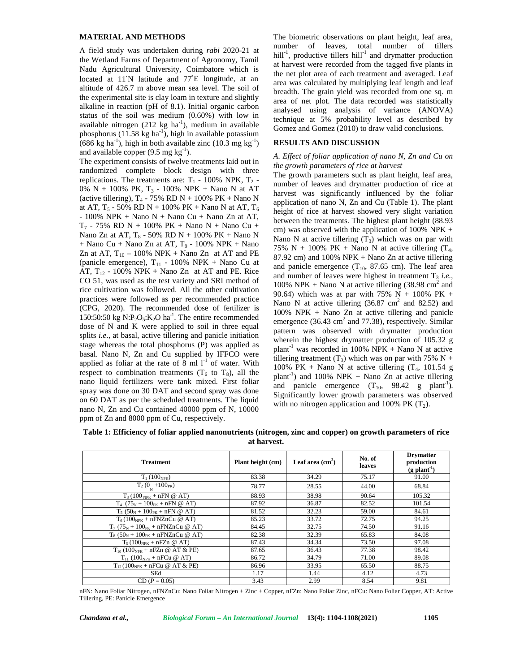## **MATERIAL AND METHODS**

A field study was undertaken during *rabi* 2020-21 at the Wetland Farms of Department of Agronomy, Tamil Nadu Agricultural University, Coimbatore which is located at 11′N latitude and 77˚E longitude, at an altitude of 426.7 m above mean sea level. The soil of the experimental site is clay loam in texture and slightly alkaline in reaction (pH of 8.1). Initial organic carbon status of the soil was medium (0.60%) with low in available nitrogen  $(212 \text{ kg ha}^{-1})$ , medium in available phosphorus  $(11.58 \text{ kg ha}^{-1})$ , high in available potassium  $(686 \text{ kg ha}^{-1})$ , high in both available zinc  $(10.3 \text{ mg kg}^{-1})$ and available copper  $(9.5 \text{ mg kg}^{-1})$ .

The experiment consists of twelve treatments laid out in randomized complete block design with three replications. The treatments are:  $T_1$  - 100% NPK,  $T_2$  -0% N + 100% PK,  $T_3$  - 100% NPK + Nano N at AT (active tillering),  $T_4$  - 75% RD N + 100% PK + Nano N at AT,  $T_5$  - 50% RD N + 100% PK + Nano N at AT,  $T_6$ - 100% NPK + Nano  $N +$  Nano Cu + Nano Zn at AT,  $T_7$  - 75% RD N + 100% PK + Nano N + Nano Cu + Nano Zn at AT,  $T_8$  - 50% RD N + 100% PK + Nano N  $+$  Nano Cu  $+$  Nano Zn at AT,  $T_9$  - 100% NPK  $+$  Nano Zn at AT,  $T_{10}$  – 100% NPK + Nano Zn at AT and PE (panicle emergence),  $T_{11}$  - 100% NPK + Nano Cu at AT,  $T_{12}$  - 100% NPK + Nano Zn at AT and PE. Rice CO 51, was used as the test variety and SRI method of rice cultivation was followed. All the other cultivation practices were followed as per recommended practice (CPG, 2020). The recommended dose of fertilizer is 150:50:50 kg N:P<sub>2</sub>O<sub>5</sub>:K<sub>2</sub>O ha<sup>-1</sup>. The entire recommended properdose of N and K were applied to soil in three equal splits *i.e*., at basal, active tillering and panicle initiation stage whereas the total phosphorus (P) was applied as basal. Nano N, Zn and Cu supplied by IFFCO were applied as foliar at the rate of  $8 \text{ ml } 1^{-1}$  of water. With respect to combination treatments  $(T_6 \text{ to } T_8)$ , all the nano liquid fertilizers were tank mixed. First foliar spray was done on 30 DAT and second spray was done on 60 DAT as per the scheduled treatments. The liquid nano N, Zn and Cu contained 40000 ppm of N, 10000 ppm of Zn and 8000 ppm of Cu, respectively.

The biometric observations on plant height, leaf area, number of leaves, total number of tillers hill<sup>-1</sup>, productive tillers hill<sup>-1</sup> and drymatter production at harvest were recorded from the tagged five plants in the net plot area of each treatment and averaged. Leaf area was calculated by multiplying leaf length and leaf breadth. The grain yield was recorded from one sq. m area of net plot. The data recorded was statistically analysed using analysis of variance (ANOVA) technique at 5% probability level as described by Gomez and Gomez (2010) to draw valid conclusions.

# **RESULTS AND DISCUSSION**

#### *A. Effect of foliar application of nano N, Zn and Cu on the growth parameters of rice at harvest*

The growth parameters such as plant height, leaf area, number of leaves and drymatter production of rice at harvest was significantly influenced by the foliar application of nano N, Zn and Cu (Table 1). The plant height of rice at harvest showed very slight variation between the treatments. The highest plant height (88.93 cm) was observed with the application of  $100\%$  NPK + Nano N at active tillering  $(T_3)$  which was on par with 75% N + 100% PK + Nano N at active tillering  $(T_4,$ 87.92 cm) and 100% NPK + Nano Zn at active tillering and panicle emergence  $(T_{10}, 87.65)$  cm). The leaf area and number of leaves were highest in treatment  $T_3$  *i.e.*, 100% NPK + Nano N at active tillering  $(38.98 \text{ cm}^2 \text{ and }$ 90.64) which was at par with 75% N + 100% PK + Nano N at active tillering  $(36.87 \text{ cm}^2 \text{ and } 82.52)$  and 100% NPK + Nano Zn at active tillering and panicle emergence (36.43 cm<sup>2</sup> and 77.38), respectively. Similar pattern was observed with drymatter production wherein the highest drymatter production of 105.32 g plant<sup>-1</sup> was recorded in 100% NPK + Nano N at active tillering treatment  $(T_3)$  which was on par with 75% N + 100% PK + Nano N at active tillering  $(T_4, 101.54 \text{ g})$ plant<sup>-1</sup>) and 100% NPK + Nano Zn at active tillering and panicle emergence  $(T_{10}$ , 98.42 g plant<sup>-1</sup>). Significantly lower growth parameters was observed with no nitrogen application and 100% PK  $(T_2)$ .

| Table 1: Efficiency of foliar applied nanonutrients (nitrogen, zinc and copper) on growth parameters of rice |  |
|--------------------------------------------------------------------------------------------------------------|--|
| at harvest.                                                                                                  |  |

| <b>Treatment</b>                                           | Plant height (cm) | Leaf area $(cm2)$ | No. of<br>leaves | <b>Drymatter</b><br>production<br>$(g$ plant <sup>-1</sup> ) |
|------------------------------------------------------------|-------------------|-------------------|------------------|--------------------------------------------------------------|
| $T_1(100_{NPK})$                                           | 83.38             | 34.29             | 75.17            | 91.00                                                        |
| $T_2 (0 \nN + 100 \nW)$                                    | 78.77             | 28.55             | 44.00            | 68.84                                                        |
| $T_3(100_{NPK} + nFN \n\mathcal{Q} AT)$                    | 88.93             | 38.98             | 90.64            | 105.32                                                       |
| $T_4$ (75 <sub>N</sub> + 100 <sub>PK</sub> + nFN @ AT)     | 87.92             | 36.87             | 82.52            | 101.54                                                       |
| $T_5$ (50 <sub>N</sub> + 100 <sub>PK</sub> + nFN @ AT)     | 81.52             | 32.23             | 59.00            | 84.61                                                        |
| $T_6(100_{NPK} + nFNZnCu \n\omega AT)$                     | 85.23             | 33.72             | 72.75            | 94.25                                                        |
| $T_7$ (75 <sub>N</sub> + 100 <sub>PK</sub> + nFNZnCu @ AT) | 84.45             | 32.75             | 74.50            | 91.16                                                        |
| $T_8$ (50 <sub>N</sub> + 100 <sub>PK</sub> + nFNZnCu @ AT) | 82.38             | 32.39             | 65.83            | 84.08                                                        |
| $T_9(100_{NPK} + nFZn \n\omega AT)$                        | 87.43             | 34.34             | 73.50            | 97.08                                                        |
| $T_{10} (100_{NPK} + nFZn \n\omega AT \& PE)$              | 87.65             | 36.43             | 77.38            | 98.42                                                        |
| $T_{11}$ (100 <sub>NPK</sub> + nFCu @ AT)                  | 86.72             | 34.79             | 71.00            | 89.08                                                        |
| $T_{12}(100_{NPK} + nFCu \n\textcirc AT & PE)$             | 86.96             | 33.95             | 65.50            | 88.75                                                        |
| SEd                                                        | 1.17              | 1.44              | 4.12             | 4.73                                                         |
| $CD (P = 0.05)$                                            | 3.43              | 2.99              | 8.54             | 9.81                                                         |

nFN: Nano Foliar Nitrogen, nFNZnCu: Nano Foliar Nitrogen + Zinc + Copper, nFZn: Nano Foliar Zinc, nFCu: Nano Foliar Copper, AT: Active Tillering, PE: Panicle Emergence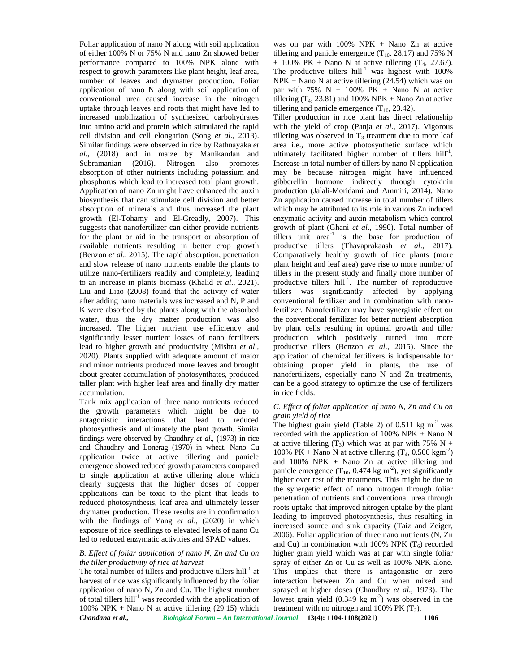Foliar application of nano N along with soil application of either 100% N or 75% N and nano Zn showed better performance compared to 100% NPK alone with respect to growth parameters like plant height, leaf area, number of leaves and drymatter production. Foliar application of nano N along with soil application of conventional urea caused increase in the nitrogen uptake through leaves and roots that might have led to increased mobilization of synthesized carbohydrates into amino acid and protein which stimulated the rapid cell division and cell elongation (Song *et al*., 2013). Similar findings were observed in rice by Rathnayaka *et al*., (2018) and in maize by Manikandan and Subramanian (2016). Nitrogen also promotes absorption of other nutrients including potassium and phosphorus which lead to increased total plant growth. Application of nano Zn might have enhanced the auxin biosynthesis that can stimulate cell division and better absorption of minerals and thus increased the plant growth (El-Tohamy and El-Greadly, 2007). This suggests that nanofertilizer can either provide nutrients for the plant or aid in the transport or absorption of available nutrients resulting in better crop growth (Benzon *et al*., 2015). The rapid absorption, penetration and slow release of nano nutrients enable the plants to utilize nano-fertilizers readily and completely, leading to an increase in plants biomass (Khalid *et al*., 2021). Liu and Liao (2008) found that the activity of water after adding nano materials was increased and N, P and K were absorbed by the plants along with the absorbed water, thus the dry matter production was also increased. The higher nutrient use efficiency and significantly lesser nutrient losses of nano fertilizers lead to higher growth and productivity (Mishra *et al*., 2020). Plants supplied with adequate amount of major and minor nutrients produced more leaves and brought about greater accumulation of photosynthates, produced taller plant with higher leaf area and finally dry matter accumulation.

Tank mix application of three nano nutrients reduced the growth parameters which might be due to antagonistic interactions that lead to reduced photosynthesis and ultimately the plant growth. Similar findings were observed by Chaudhry *et al*., (1973) in rice and Chaudhry and Lonerag (1970) in wheat. Nano Cu application twice at active tillering and panicle emergence showed reduced growth parameters compared to single application at active tillering alone which clearly suggests that the higher doses of copper applications can be toxic to the plant that leads to reduced photosynthesis, leaf area and ultimately lesser drymatter production. These results are in confirmation with the findings of Yang *et al*., (2020) in which exposure of rice seedlings to elevated levels of nano Cu led to reduced enzymatic activities and SPAD values.

#### *B. Effect of foliar application of nano N, Zn and Cu on the tiller productivity of rice at harvest*

*Chandana et al., Biological Forum – An International Journal* **13(4): 1104-1108(2021) 1106** The total number of tillers and productive tillers hill<sup>-1</sup> at harvest of rice was significantly influenced by the foliar application of nano N, Zn and Cu. The highest number of total tillers hill<sup>-1</sup> was recorded with the application of 100% NPK + Nano N at active tillering  $(29.15)$  which

was on par with  $100\%$  NPK + Nano Zn at active tillering and panicle emergence  $(T_{10}, 28.17)$  and 75% N  $+ 100\% \text{ PK} + \text{Nano} \text{ N at active tillering } (T_4, 27.67).$ The productive tillers  $hill<sup>-1</sup>$  was highest with 100%  $NPK + Nano N$  at active tillering (24.54) which was on par with  $75\%$  N + 100% PK + Nano N at active tillering  $(T_4, 23.81)$  and 100% NPK + Nano Zn at active tillering and panicle emergence  $(T_{10}, 23.42)$ .

Tiller production in rice plant has direct relationship with the yield of crop (Panja *et al*., 2017). Vigorous tillering was observed in  $T_3$  treatment due to more leaf area i.e., more active photosynthetic surface which ultimately facilitated higher number of tillers hill<sup>-1</sup>. Increase in total number of tillers by nano N application may be because nitrogen might have influenced gibberellin hormone indirectly through cytokinin production (Jalali-Moridami and Ammiri, 2014). Nano Zn application caused increase in total number of tillers which may be attributed to its role in various Zn induced enzymatic activity and auxin metabolism which control growth of plant (Ghani *et al*., 1990). Total number of tillers unit  $area^{-1}$  is the base for production of productive tillers (Thavaprakaash *et al*., 2017). Comparatively healthy growth of rice plants (more plant height and leaf area) gave rise to more number of tillers in the present study and finally more number of productive tillers  $\text{hill}^{-1}$ . The number of reproductive tillers was significantly affected by applying conventional fertilizer and in combination with nanofertilizer. Nanofertilizer may have synergistic effect on the conventional fertilizer for better nutrient absorption by plant cells resulting in optimal growth and tiller production which positively turned into more productive tillers (Benzon *et al*., 2015). Since the application of chemical fertilizers is indispensable for obtaining proper yield in plants, the use of nanofertilizers, especially nano N and Zn treatments, can be a good strategy to optimize the use of fertilizers in rice fields.

## *C. Effect of foliar application of nano N, Zn and Cu on grain yield of rice*

The highest grain yield (Table 2) of  $0.511 \text{ kg m}^2$  was recorded with the application of 100% NPK  $+$  Nano N at active tillering  $(T_3)$  which was at par with 75% N + 100% PK + Nano N at active tillering  $(T_4, 0.506 \text{ kgm}^2)$ and 100% NPK + Nano Zn at active tillering and panicle emergence  $(T_{10}, 0.474 \text{ kg m}^2)$ , yet significantly higher over rest of the treatments. This might be due to the synergetic effect of nano nitrogen through foliar penetration of nutrients and conventional urea through roots uptake that improved nitrogen uptake by the plant leading to improved photosynthesis, thus resulting in increased source and sink capacity (Taiz and Zeiger, 2006). Foliar application of three nano nutrients (N, Zn and Cu) in combination with 100% NPK  $(T_6)$  recorded higher grain yield which was at par with single foliar spray of either Zn or Cu as well as 100% NPK alone. This implies that there is antagonistic or zero interaction between Zn and Cu when mixed and sprayed at higher doses (Chaudhry *et al*., 1973). The lowest grain yield  $(0.349 \text{ kg m}^2)$  was observed in the treatment with no nitrogen and 100% PK  $(T_2)$ .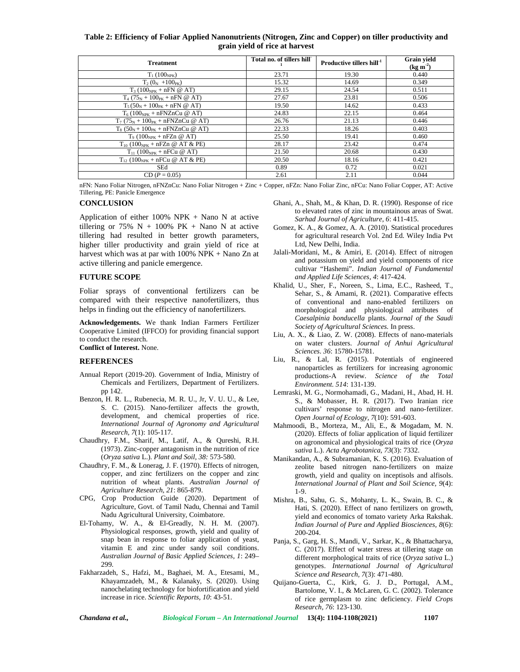# **Table 2: Efficiency of Foliar Applied Nanonutrients (Nitrogen, Zinc and Copper) on tiller productivity and grain yield of rice at harvest**

| <b>Treatment</b>                                           | Total no. of tillers hill | Productive tillers hill <sup>-1</sup> | <b>Grain</b> yield<br>$(\text{kg m}^2)$ |
|------------------------------------------------------------|---------------------------|---------------------------------------|-----------------------------------------|
| $T_1(100_{NPK})$                                           | 23.71                     | 19.30                                 | 0.440                                   |
| $T_2(0_N + 100_{PK})$                                      | 15.32                     | 14.69                                 | 0.349                                   |
| $T_3(100_{NPK} + nFN \n\mathcal{Q} AT)$                    | 29.15                     | 24.54                                 | 0.511                                   |
| $T_4$ (75 <sub>N</sub> + 100 <sub>PK</sub> + nFN @ AT)     | 27.67                     | 23.81                                 | 0.506                                   |
| $T_5(50_N + 100_{PK} + nFN \n\textcircled{a} AT)$          | 19.50                     | 14.62                                 | 0.433                                   |
| $T_6(100_{NPK} + nFNZnCu \n\omega AT)$                     | 24.83                     | 22.15                                 | 0.464                                   |
| $T_7$ (75 <sub>N</sub> + 100 <sub>PK</sub> + nFNZnCu @ AT) | 26.76                     | 21.13                                 | 0.446                                   |
| $T_8$ (50 <sub>N</sub> + 100 <sub>PK</sub> + nFNZnCu @ AT) | 22.33                     | 18.26                                 | 0.403                                   |
| $T9 (100NPK + nFZn \n\omega AT)$                           | 25.50                     | 19.41                                 | 0.460                                   |
| $T_{10}$ (100 <sub>NPK</sub> + nFZn @ AT & PE)             | 28.17                     | 23.42                                 | 0.474                                   |
| $T_{11}$ (100 <sub>NPK</sub> + nFCu @ AT)                  | 21.50                     | 20.68                                 | 0.430                                   |
| $T_{12}$ (100 <sub>NPK</sub> + nFCu @ AT & PE)             | 20.50                     | 18.16                                 | 0.421                                   |
| SEd                                                        | 0.89                      | 0.72                                  | 0.021                                   |
| $CD (P = 0.05)$                                            | 2.61                      | 2.11                                  | 0.044                                   |

nFN: Nano Foliar Nitrogen, nFNZnCu: Nano Foliar Nitrogen + Zinc + Copper, nFZn: Nano Foliar Zinc, nFCu: Nano Foliar Copper, AT: Active Tillering, PE: Panicle Emergence

#### **CONCLUSION**

Application of either  $100\%$  NPK + Nano N at active tillering or 75%  $N + 100%$  PK + Nano N at active tillering had resulted in better growth parameters, higher tiller productivity and grain yield of rice at harvest which was at par with 100% NPK + Nano Zn at active tillering and panicle emergence.

#### **FUTURE SCOPE**

Foliar sprays of conventional fertilizers can be compared with their respective nanofertilizers, thus helps in finding out the efficiency of nanofertilizers.

**Acknowledgements.** We thank Indian Farmers Fertilizer Cooperative Limited (IFFCO) for providing financial support to conduct the research. **Conflict of Interest.** None.

#### **REFERENCES**

- Annual Report (2019-20). Government of India, Ministry of Chemicals and Fertilizers, Department of Fertilizers. pp 142.
- Benzon, H. R. L., Rubenecia, M. R. U., Jr, V. U. U., & Lee, S. C. (2015). Nano-fertilizer affects the growth, development, and chemical properties of rice. *International Journal of Agronomy and Agricultural Research, 7*(1): 105-117.
- Chaudhry, F.M., Sharif, M., Latif, A., & Qureshi, R.H. (1973). Zinc-copper antagonism in the nutrition of rice (*Oryza sativa* L.). *Plant and Soil, 38:* 573-580.
- Chaudhry, F. M., & Lonerag, J. F. (1970). Effects of nitrogen, copper, and zinc fertilizers on the copper and zinc nutrition of wheat plants. *Australian Journal of Agriculture Research, 21*: 865-879.
- CPG, Crop Production Guide (2020). Department of Agriculture, Govt. of Tamil Nadu, Chennai and Tamil Nadu Agricultural University, Coimbatore.
- El-Tohamy, W. A., & El-Greadly, N. H. M. (2007). Physiological responses, growth, yield and quality of snap bean in response to foliar application of yeast, vitamin E and zinc under sandy soil conditions. *Australian Journal of Basic Applied Sciences, 1*: 249– 299.
- Fakharzadeh, S., Hafzi, M., Baghaei, M. A., Etesami, M., Khayamzadeh, M., & Kalanaky, S. (2020). Using nanochelating technology for biofortification and yield increase in rice. *Scientific Reports, 10*: 43-51.
- Ghani, A., Shah, M., & Khan, D. R. (1990). Response of rice to elevated rates of zinc in mountainous areas of Swat. *Sarhad Journal of Agriculture, 6*: 411-415.
- Gomez, K. A., & Gomez, A. A. (2010). Statistical procedures for agricultural research Vol. 2nd Ed. Wiley India Pvt Ltd, New Delhi, India.
- Jalali-Moridani, M., & Amiri, E. (2014). Effect of nitrogen and potassium on yield and yield components of rice cultivar "Hashemi". *Indian Journal of Fundamental and Applied Life Sciences, 4*: 417-424.
- Khalid, U., Sher, F., Noreen, S., Lima, E.C., Rasheed, T., Sehar, S., & Amami, R. (2021). Comparative effects of conventional and nano-enabled fertilizers on morphological and physiological attributes of *Caesalpinia bonducella* plants. *Journal of the Saudi Society of Agricultural Sciences.* In press.
- Liu, A. X., & Liao, Z. W. (2008). Effects of nano-materials on water clusters. *Journal of Anhui Agricultural Sciences. 36*: 15780-15781.
- Liu, R., & Lal, R. (2015). Potentials of engineered nanoparticles as fertilizers for increasing agronomic productions-A review. *Science of the Total Environment. 514*: 131-139.
- Lemraski, M. G., Normohamadi, G., Madani, H., Abad, H. H. S., & Mobasser, H. R. (2017). Two Iranian rice cultivars' response to nitrogen and nano-fertilizer. *Open Journal of Ecology, 7*(10): 591-603.
- Mahmoodi, B., Morteza, M., Ali, E., & Mogadam, M. N. (2020). Effects of foliar application of liquid fertilizer on agronomical and physiological traits of rice (*Oryza sativa* L.). *Acta Agrobotanica, 73*(3): 7332.
- Manikandan, A., & Subramanian, K. S. (2016). Evaluation of zeolite based nitrogen nano-fertilizers on maize growth, yield and quality on inceptisols and alfisols. *International Journal of Plant and Soil Science, 9*(4): 1-9.
- Mishra, B., Sahu, G. S., Mohanty, L. K., Swain, B. C., & Hati, S. (2020). Effect of nano fertilizers on growth, yield and economics of tomato variety Arka Rakshak. *Indian Journal of Pure and Applied Biosciences, 8*(6): 200-204.
- Panja, S., Garg, H. S., Mandi, V., Sarkar, K., & Bhattacharya, C. (2017). Effect of water stress at tillering stage on different morphological traits of rice (*Oryza sativa* L.) genotypes. *International Journal of Agricultural Science and Research, 7*(3): 471-480.
- Quijano-Guerta, C., Kirk, G. J. D., Portugal, A.M., Bartolome, V. I., & McLaren, G. C. (2002). Tolerance of rice germplasm to zinc deficiency. *Field Crops Research, 76*: 123-130.

*Chandana et al., Biological Forum – An International Journal* **13(4): 1104-1108(2021) 1107**